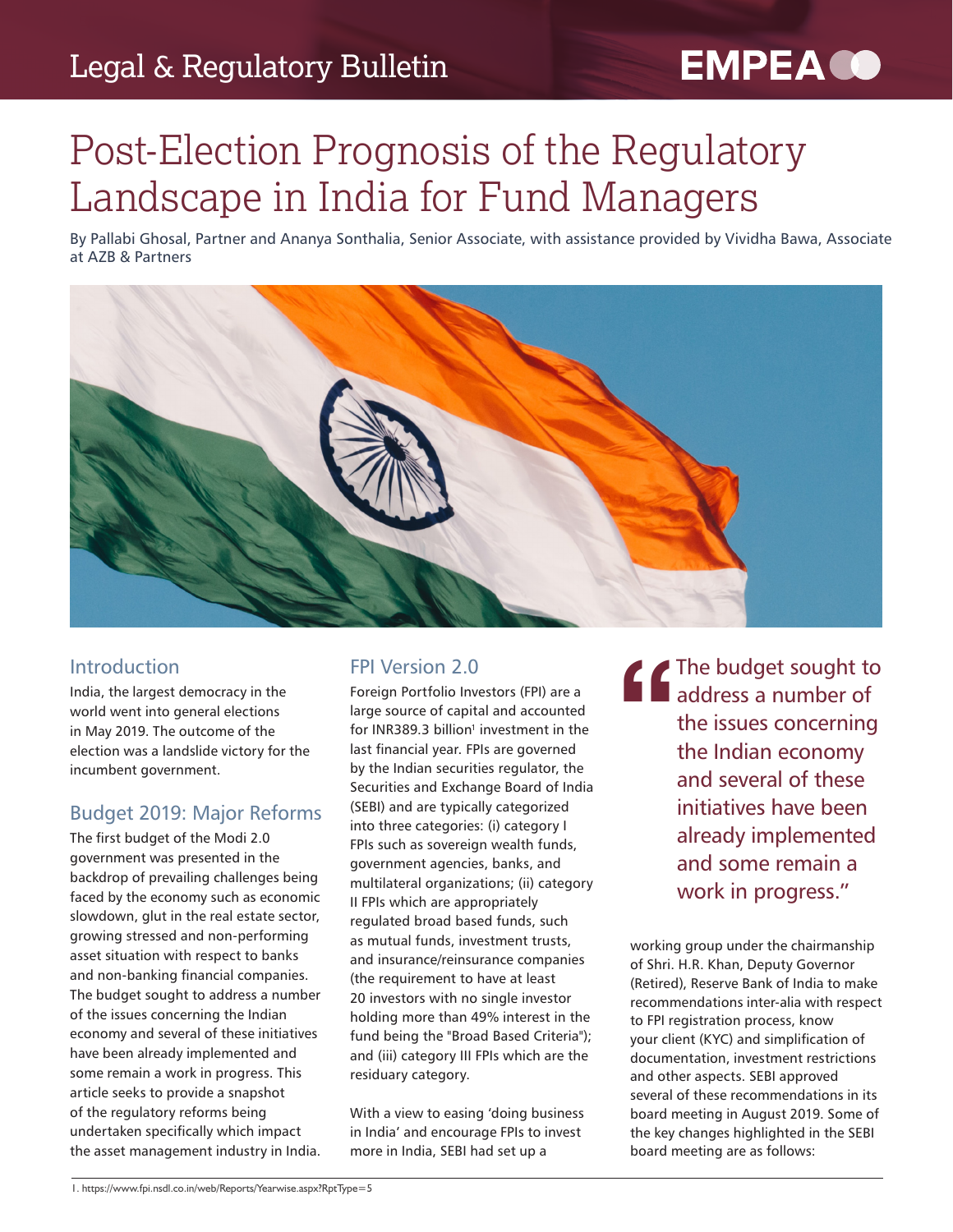## Legal & Regulatory Bulletin

# **EMPEA CO**

# Post-Election Prognosis of the Regulatory Landscape in India for Fund Managers

By Pallabi Ghosal, Partner and Ananya Sonthalia, Senior Associate, with assistance provided by Vividha Bawa, Associate at AZB & Partners



#### Introduction

India, the largest democracy in the world went into general elections in May 2019. The outcome of the election was a landslide victory for the incumbent government.

#### Budget 2019: Major Reforms

The first budget of the Modi 2.0 government was presented in the backdrop of prevailing challenges being faced by the economy such as economic slowdown, glut in the real estate sector, growing stressed and non-performing asset situation with respect to banks and non-banking financial companies. The budget sought to address a number of the issues concerning the Indian economy and several of these initiatives have been already implemented and some remain a work in progress. This article seeks to provide a snapshot of the regulatory reforms being undertaken specifically which impact the asset management industry in India.

#### FPI Version 2.0

Foreign Portfolio Investors (FPI) are a large source of capital and accounted for INR389.3 billion<sup>1</sup> investment in the last financial year. FPIs are governed by the Indian securities regulator, the Securities and Exchange Board of India (SEBI) and are typically categorized into three categories: (i) category I FPIs such as sovereign wealth funds, government agencies, banks, and multilateral organizations; (ii) category II FPIs which are appropriately regulated broad based funds, such as mutual funds, investment trusts, and insurance/reinsurance companies (the requirement to have at least 20 investors with no single investor holding more than 49% interest in the fund being the "Broad Based Criteria"); and (iii) category III FPIs which are the residuary category.

With a view to easing 'doing business in India' and encourage FPIs to invest more in India, SEBI had set up a

The budget sought to<br>
address a number of<br>
the issues concerning<br>
the Indian economy<br>
and several of these address a number of the issues concerning the Indian economy and several of these initiatives have been already implemented and some remain a work in progress."

working group under the chairmanship of Shri. H.R. Khan, Deputy Governor (Retired), Reserve Bank of India to make recommendations inter-alia with respect to FPI registration process, know your client (KYC) and simplification of documentation, investment restrictions and other aspects. SEBI approved several of these recommendations in its board meeting in August 2019. Some of the key changes highlighted in the SEBI board meeting are as follows: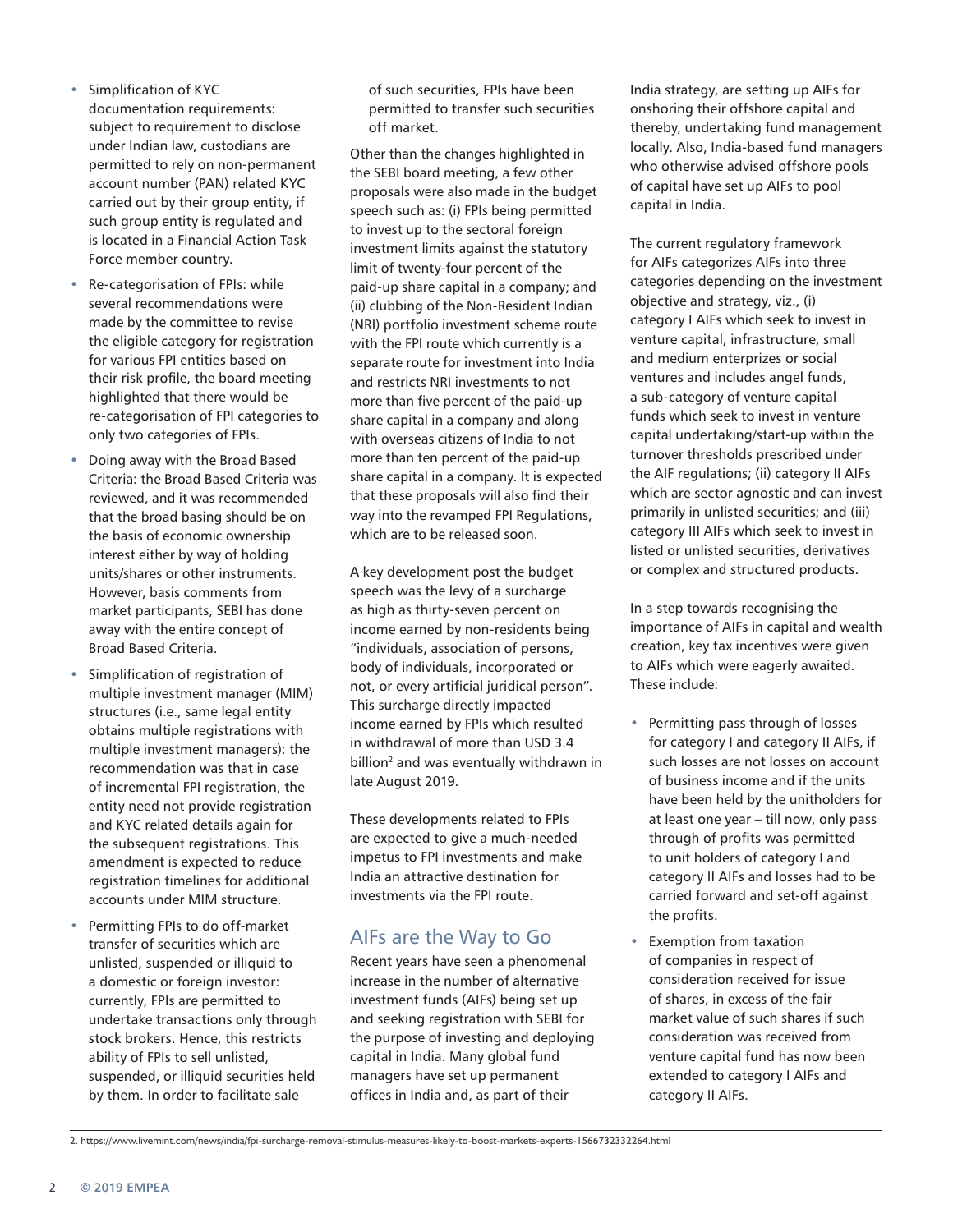- Simplification of KYC documentation requirements: subject to requirement to disclose under Indian law, custodians are permitted to rely on non-permanent account number (PAN) related KYC carried out by their group entity, if such group entity is regulated and is located in a Financial Action Task Force member country.
- Re-categorisation of FPIs: while several recommendations were made by the committee to revise the eligible category for registration for various FPI entities based on their risk profile, the board meeting highlighted that there would be re-categorisation of FPI categories to only two categories of FPIs.
- Doing away with the Broad Based Criteria: the Broad Based Criteria was reviewed, and it was recommended that the broad basing should be on the basis of economic ownership interest either by way of holding units/shares or other instruments. However, basis comments from market participants, SEBI has done away with the entire concept of Broad Based Criteria.
- Simplification of registration of multiple investment manager (MIM) structures (i.e., same legal entity obtains multiple registrations with multiple investment managers): the recommendation was that in case of incremental FPI registration, the entity need not provide registration and KYC related details again for the subsequent registrations. This amendment is expected to reduce registration timelines for additional accounts under MIM structure.
- Permitting FPIs to do off-market transfer of securities which are unlisted, suspended or illiquid to a domestic or foreign investor: currently, FPIs are permitted to undertake transactions only through stock brokers. Hence, this restricts ability of FPIs to sell unlisted, suspended, or illiquid securities held by them. In order to facilitate sale

of such securities, FPIs have been permitted to transfer such securities off market.

Other than the changes highlighted in the SEBI board meeting, a few other proposals were also made in the budget speech such as: (i) FPIs being permitted to invest up to the sectoral foreign investment limits against the statutory limit of twenty-four percent of the paid-up share capital in a company; and (ii) clubbing of the Non-Resident Indian (NRI) portfolio investment scheme route with the FPI route which currently is a separate route for investment into India and restricts NRI investments to not more than five percent of the paid-up share capital in a company and along with overseas citizens of India to not more than ten percent of the paid-up share capital in a company. It is expected that these proposals will also find their way into the revamped FPI Regulations, which are to be released soon.

A key development post the budget speech was the levy of a surcharge as high as thirty-seven percent on income earned by non-residents being "individuals, association of persons, body of individuals, incorporated or not, or every artificial juridical person". This surcharge directly impacted income earned by FPIs which resulted in withdrawal of more than USD 3.4 billion<sup>2</sup> and was eventually withdrawn in late August 2019.

These developments related to FPIs are expected to give a much-needed impetus to FPI investments and make India an attractive destination for investments via the FPI route.

#### AIFs are the Way to Go

Recent years have seen a phenomenal increase in the number of alternative investment funds (AIFs) being set up and seeking registration with SEBI for the purpose of investing and deploying capital in India. Many global fund managers have set up permanent offices in India and, as part of their

India strategy, are setting up AIFs for onshoring their offshore capital and thereby, undertaking fund management locally. Also, India-based fund managers who otherwise advised offshore pools of capital have set up AIFs to pool capital in India.

The current regulatory framework for AIFs categorizes AIFs into three categories depending on the investment objective and strategy, viz., (i) category I AIFs which seek to invest in venture capital, infrastructure, small and medium enterprizes or social ventures and includes angel funds, a sub-category of venture capital funds which seek to invest in venture capital undertaking/start-up within the turnover thresholds prescribed under the AIF regulations; (ii) category II AIFs which are sector agnostic and can invest primarily in unlisted securities; and (iii) category III AIFs which seek to invest in listed or unlisted securities, derivatives or complex and structured products.

In a step towards recognising the importance of AIFs in capital and wealth creation, key tax incentives were given to AIFs which were eagerly awaited. These include:

- Permitting pass through of losses for category I and category II AIFs, if such losses are not losses on account of business income and if the units have been held by the unitholders for at least one year – till now, only pass through of profits was permitted to unit holders of category I and category II AIFs and losses had to be carried forward and set-off against the profits.
- Exemption from taxation of companies in respect of consideration received for issue of shares, in excess of the fair market value of such shares if such consideration was received from venture capital fund has now been extended to category I AIFs and category II AIFs.

<sup>2.</sup> https://www.livemint.com/news/india/fpi-surcharge-removal-stimulus-measures-likely-to-boost-markets-experts-1566732332264.html